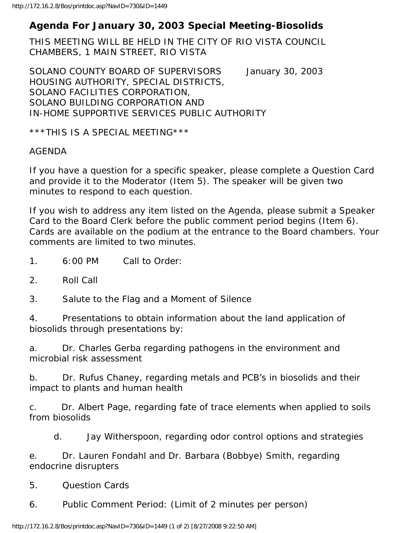## **Agenda For January 30, 2003 Special Meeting-Biosolids**

THIS MEETING WILL BE HELD IN THE CITY OF RIO VISTA COUNCIL CHAMBERS, 1 MAIN STREET, RIO VISTA

SOLANO COUNTY BOARD OF SUPERVISORS January 30, 2003 HOUSING AUTHORITY, SPECIAL DISTRICTS, SOLANO FACILITIES CORPORATION, SOLANO BUILDING CORPORATION AND IN-HOME SUPPORTIVE SERVICES PUBLIC AUTHORITY

\*\*\*THIS IS A SPECIAL MEETING\*\*\*

## AGENDA

If you have a question for a specific speaker, please complete a Question Card and provide it to the Moderator (Item 5). The speaker will be given two minutes to respond to each question.

If you wish to address any item listed on the Agenda, please submit a Speaker Card to the Board Clerk before the public comment period begins (Item 6). Cards are available on the podium at the entrance to the Board chambers. Your comments are limited to two minutes.

- 1. 6:00 PM Call to Order:
- 2. Roll Call

3. Salute to the Flag and a Moment of Silence

4. Presentations to obtain information about the land application of biosolids through presentations by:

a. Dr. Charles Gerba regarding pathogens in the environment and microbial risk assessment

b. Dr. Rufus Chaney, regarding metals and PCB's in biosolids and their impact to plants and human health

c. Dr. Albert Page, regarding fate of trace elements when applied to soils from biosolids

d. Jay Witherspoon, regarding odor control options and strategies

e. Dr. Lauren Fondahl and Dr. Barbara (Bobbye) Smith, regarding endocrine disrupters

5. Question Cards

6. Public Comment Period: (Limit of 2 minutes per person)